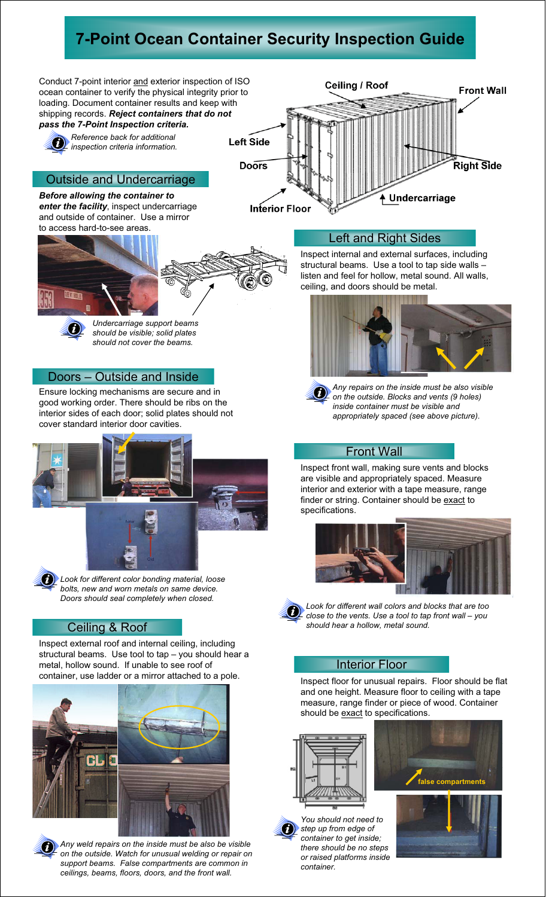## **7-Point Ocean Container Security Inspection Guide**



*Any weld repairs on the inside must be also be visible on the outside. Watch for unusual welding or repair on support beams. False compartments are common in ceilings, beams, floors, doors, and the front wall.*

*container to get inside; there should be no steps or raised platforms inside container.*